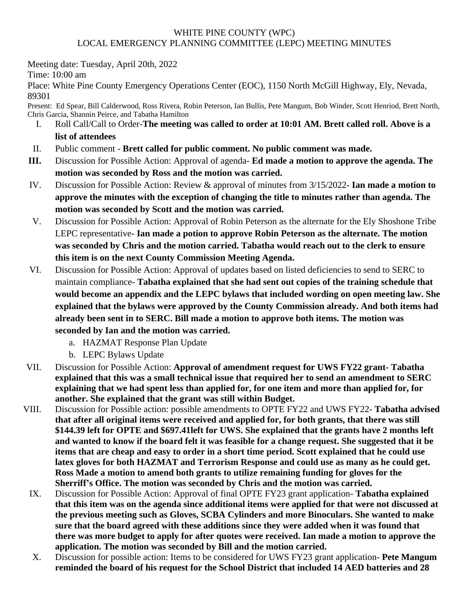## WHITE PINE COUNTY (WPC) LOCAL EMERGENCY PLANNING COMMITTEE (LEPC) MEETING MINUTES

Meeting date: Tuesday, April 20th, 2022

Time: 10:00 am

Place: White Pine County Emergency Operations Center (EOC), 1150 North McGill Highway, Ely, Nevada, 89301

Present: Ed Spear, Bill Calderwood, Ross Rivera, Robin Peterson, Ian Bullis, Pete Mangum, Bob Winder, Scott Henriod, Brett North, Chris Garcia, Shannin Peirce, and Tabatha Hamilton

- I. Roll Call/Call to Order-**The meeting was called to order at 10:01 AM. Brett called roll. Above is a list of attendees**
- II. Public comment **Brett called for public comment. No public comment was made.**
- **III.** Discussion for Possible Action: Approval of agenda- **Ed made a motion to approve the agenda. The motion was seconded by Ross and the motion was carried.**
- IV. Discussion for Possible Action: Review & approval of minutes from 3/15/2022- **Ian made a motion to approve the minutes with the exception of changing the title to minutes rather than agenda. The motion was seconded by Scott and the motion was carried.**
- V. Discussion for Possible Action: Approval of Robin Peterson as the alternate for the Ely Shoshone Tribe LEPC representative- **Ian made a potion to approve Robin Peterson as the alternate. The motion was seconded by Chris and the motion carried. Tabatha would reach out to the clerk to ensure this item is on the next County Commission Meeting Agenda.**
- VI. Discussion for Possible Action: Approval of updates based on listed deficiencies to send to SERC to maintain compliance- **Tabatha explained that she had sent out copies of the training schedule that would become an appendix and the LEPC bylaws that included wording on open meeting law. She explained that the bylaws were approved by the County Commission already. And both items had already been sent in to SERC. Bill made a motion to approve both items. The motion was seconded by Ian and the motion was carried.**
	- a. HAZMAT Response Plan Update
	- b. LEPC Bylaws Update
- VII. Discussion for Possible Action: **Approval of amendment request for UWS FY22 grant- Tabatha explained that this was a small technical issue that required her to send an amendment to SERC explaining that we had spent less than applied for, for one item and more than applied for, for another. She explained that the grant was still within Budget.**
- VIII. Discussion for Possible action: possible amendments to OPTE FY22 and UWS FY22- **Tabatha advised that after all original items were received and applied for, for both grants, that there was still \$144.39 left for OPTE and \$697.41left for UWS. She explained that the grants have 2 months left and wanted to know if the board felt it was feasible for a change request. She suggested that it be items that are cheap and easy to order in a short time period. Scott explained that he could use latex gloves for both HAZMAT and Terrorism Response and could use as many as he could get. Ross Made a motion to amend both grants to utilize remaining funding for gloves for the Sherriff's Office. The motion was seconded by Chris and the motion was carried.**
- IX. Discussion for Possible Action: Approval of final OPTE FY23 grant application- **Tabatha explained that this item was on the agenda since additional items were applied for that were not discussed at the previous meeting such as Gloves, SCBA Cylinders and more Binoculars. She wanted to make sure that the board agreed with these additions since they were added when it was found that there was more budget to apply for after quotes were received. Ian made a motion to approve the application. The motion was seconded by Bill and the motion carried.**
- X. Discussion for possible action: Items to be considered for UWS FY23 grant application- **Pete Mangum reminded the board of his request for the School District that included 14 AED batteries and 28**